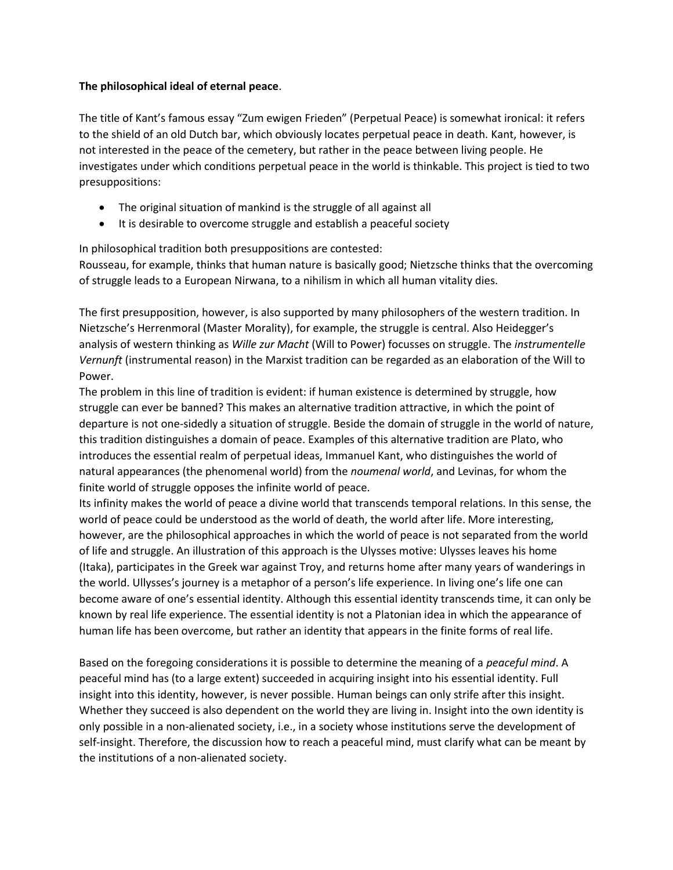## **The philosophical ideal of eternal peace**.

The title of Kant's famous essay "Zum ewigen Frieden" (Perpetual Peace) is somewhat ironical: it refers to the shield of an old Dutch bar, which obviously locates perpetual peace in death. Kant, however, is not interested in the peace of the cemetery, but rather in the peace between living people. He investigates under which conditions perpetual peace in the world is thinkable. This project is tied to two presuppositions:

- The original situation of mankind is the struggle of all against all
- It is desirable to overcome struggle and establish a peaceful society

In philosophical tradition both presuppositions are contested:

Rousseau, for example, thinks that human nature is basically good; Nietzsche thinks that the overcoming of struggle leads to a European Nirwana, to a nihilism in which all human vitality dies.

The first presupposition, however, is also supported by many philosophers of the western tradition. In Nietzsche's Herrenmoral (Master Morality), for example, the struggle is central. Also Heidegger's analysis of western thinking as *Wille zur Macht* (Will to Power) focusses on struggle. The *instrumentelle Vernunft* (instrumental reason) in the Marxist tradition can be regarded as an elaboration of the Will to Power.

The problem in this line of tradition is evident: if human existence is determined by struggle, how struggle can ever be banned? This makes an alternative tradition attractive, in which the point of departure is not one-sidedly a situation of struggle. Beside the domain of struggle in the world of nature, this tradition distinguishes a domain of peace. Examples of this alternative tradition are Plato, who introduces the essential realm of perpetual ideas, Immanuel Kant, who distinguishes the world of natural appearances (the phenomenal world) from the *noumenal world*, and Levinas, for whom the finite world of struggle opposes the infinite world of peace.

Its infinity makes the world of peace a divine world that transcends temporal relations. In this sense, the world of peace could be understood as the world of death, the world after life. More interesting, however, are the philosophical approaches in which the world of peace is not separated from the world of life and struggle. An illustration of this approach is the Ulysses motive: Ulysses leaves his home (Itaka), participates in the Greek war against Troy, and returns home after many years of wanderings in the world. Ullysses's journey is a metaphor of a person's life experience. In living one's life one can become aware of one's essential identity. Although this essential identity transcends time, it can only be known by real life experience. The essential identity is not a Platonian idea in which the appearance of human life has been overcome, but rather an identity that appears in the finite forms of real life.

Based on the foregoing considerations it is possible to determine the meaning of a *peaceful mind*. A peaceful mind has (to a large extent) succeeded in acquiring insight into his essential identity. Full insight into this identity, however, is never possible. Human beings can only strife after this insight. Whether they succeed is also dependent on the world they are living in. Insight into the own identity is only possible in a non-alienated society, i.e., in a society whose institutions serve the development of self-insight. Therefore, the discussion how to reach a peaceful mind, must clarify what can be meant by the institutions of a non-alienated society.